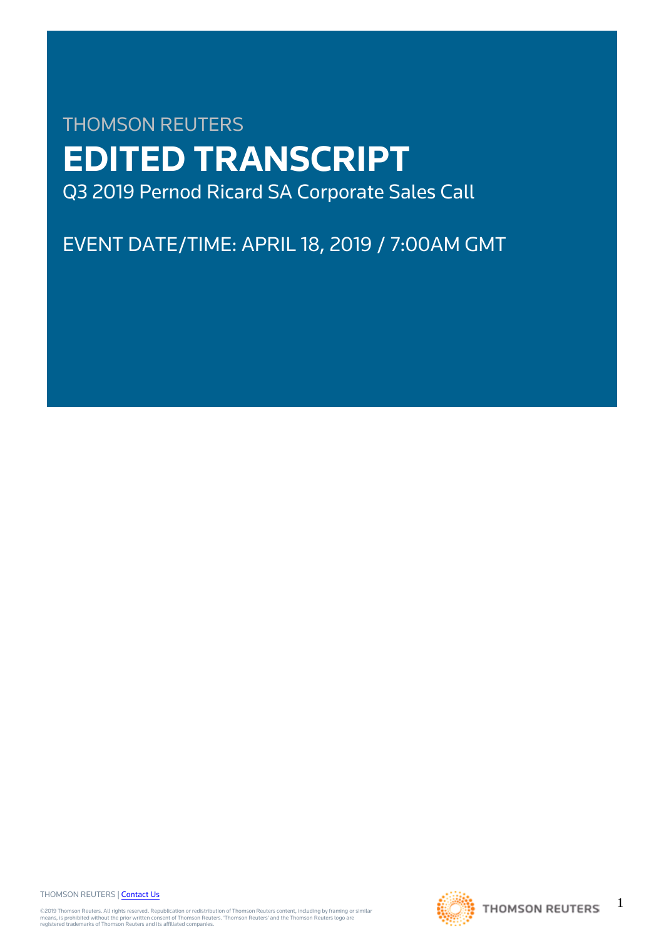# THOMSON REUTERS **EDITED TRANSCRIPT** Q3 2019 Pernod Ricard SA Corporate Sales Call

EVENT DATE/TIME: APRIL 18, 2019 / 7:00AM GMT

THOMSON REUTERS | [Contact Us](https://my.thomsonreuters.com/ContactUsNew)

©2019 Thomson Reuters. All rights reserved. Republication or redistribution of Thomson Reuters content, including by framing or similar<br>means, is prohibited without the prior written consent of Thomson Reuters. "Thomson Re



1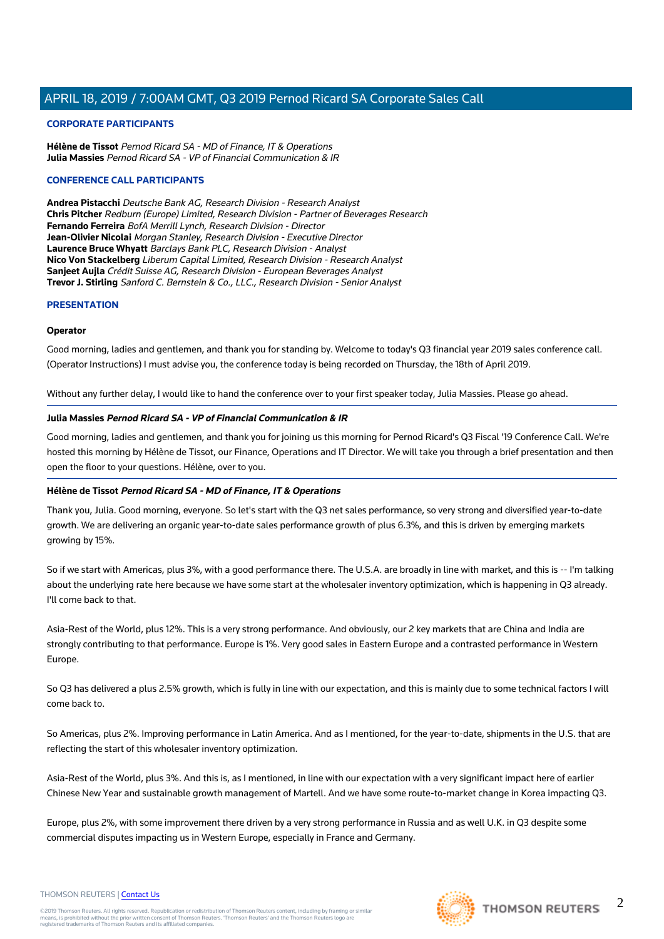#### **CORPORATE PARTICIPANTS**

**Hélène de Tissot** Pernod Ricard SA - MD of Finance, IT & Operations **Julia Massies** Pernod Ricard SA - VP of Financial Communication & IR

#### **CONFERENCE CALL PARTICIPANTS**

**Andrea Pistacchi** Deutsche Bank AG, Research Division - Research Analyst **Chris Pitcher** Redburn (Europe) Limited, Research Division - Partner of Beverages Research **Fernando Ferreira** BofA Merrill Lynch, Research Division - Director **Jean-Olivier Nicolai** Morgan Stanley, Research Division - Executive Director **Laurence Bruce Whyatt** Barclays Bank PLC, Research Division - Analyst **Nico Von Stackelberg** Liberum Capital Limited, Research Division - Research Analyst **Sanjeet Aujla** Crédit Suisse AG, Research Division - European Beverages Analyst **Trevor J. Stirling** Sanford C. Bernstein & Co., LLC., Research Division - Senior Analyst

#### **PRESENTATION**

#### **Operator**

Good morning, ladies and gentlemen, and thank you for standing by. Welcome to today's Q3 financial year 2019 sales conference call. (Operator Instructions) I must advise you, the conference today is being recorded on Thursday, the 18th of April 2019.

Without any further delay, I would like to hand the conference over to your first speaker today, Julia Massies. Please go ahead.

#### **Julia Massies Pernod Ricard SA - VP of Financial Communication & IR**

Good morning, ladies and gentlemen, and thank you for joining us this morning for Pernod Ricard's Q3 Fiscal '19 Conference Call. We're hosted this morning by Hélène de Tissot, our Finance, Operations and IT Director. We will take you through a brief presentation and then open the floor to your questions. Hélène, over to you.

#### **Hélène de Tissot Pernod Ricard SA - MD of Finance, IT & Operations**

Thank you, Julia. Good morning, everyone. So let's start with the Q3 net sales performance, so very strong and diversified year-to-date growth. We are delivering an organic year-to-date sales performance growth of plus 6.3%, and this is driven by emerging markets growing by 15%.

So if we start with Americas, plus 3%, with a good performance there. The U.S.A. are broadly in line with market, and this is -- I'm talking about the underlying rate here because we have some start at the wholesaler inventory optimization, which is happening in Q3 already. I'll come back to that.

Asia-Rest of the World, plus 12%. This is a very strong performance. And obviously, our 2 key markets that are China and India are strongly contributing to that performance. Europe is 1%. Very good sales in Eastern Europe and a contrasted performance in Western Europe.

So Q3 has delivered a plus 2.5% growth, which is fully in line with our expectation, and this is mainly due to some technical factors I will come back to.

So Americas, plus 2%. Improving performance in Latin America. And as I mentioned, for the year-to-date, shipments in the U.S. that are reflecting the start of this wholesaler inventory optimization.

Asia-Rest of the World, plus 3%. And this is, as I mentioned, in line with our expectation with a very significant impact here of earlier Chinese New Year and sustainable growth management of Martell. And we have some route-to-market change in Korea impacting Q3.

Europe, plus 2%, with some improvement there driven by a very strong performance in Russia and as well U.K. in Q3 despite some commercial disputes impacting us in Western Europe, especially in France and Germany.





 $\mathfrak{D}$ 

#### THOMSON REUTERS | [Contact Us](https://my.thomsonreuters.com/ContactUsNew)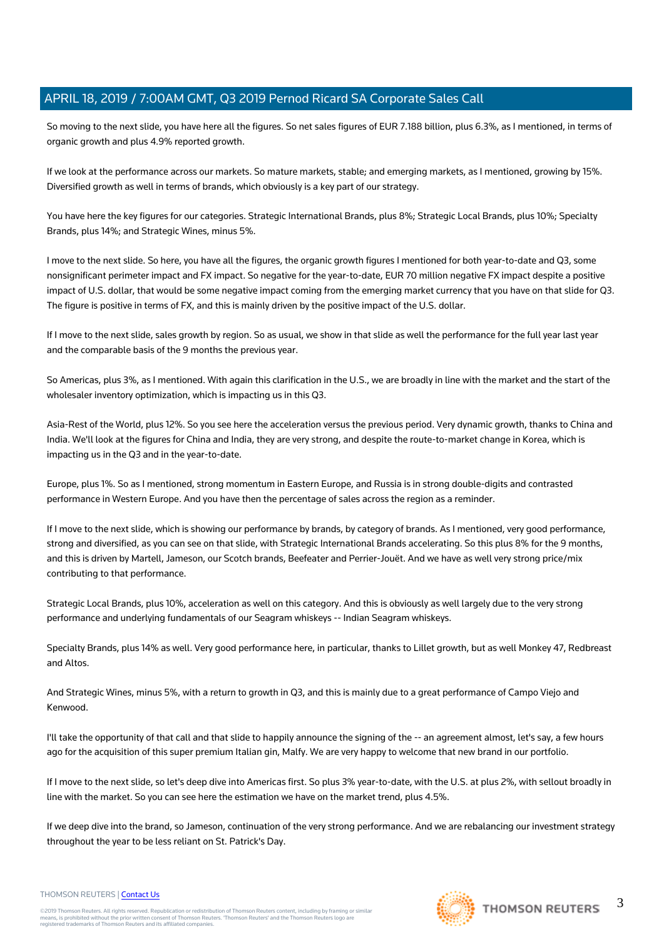So moving to the next slide, you have here all the figures. So net sales figures of EUR 7.188 billion, plus 6.3%, as I mentioned, in terms of organic growth and plus 4.9% reported growth.

If we look at the performance across our markets. So mature markets, stable; and emerging markets, as I mentioned, growing by 15%. Diversified growth as well in terms of brands, which obviously is a key part of our strategy.

You have here the key figures for our categories. Strategic International Brands, plus 8%; Strategic Local Brands, plus 10%; Specialty Brands, plus 14%; and Strategic Wines, minus 5%.

I move to the next slide. So here, you have all the figures, the organic growth figures I mentioned for both year-to-date and Q3, some nonsignificant perimeter impact and FX impact. So negative for the year-to-date, EUR 70 million negative FX impact despite a positive impact of U.S. dollar, that would be some negative impact coming from the emerging market currency that you have on that slide for Q3. The figure is positive in terms of FX, and this is mainly driven by the positive impact of the U.S. dollar.

If I move to the next slide, sales growth by region. So as usual, we show in that slide as well the performance for the full year last year and the comparable basis of the 9 months the previous year.

So Americas, plus 3%, as I mentioned. With again this clarification in the U.S., we are broadly in line with the market and the start of the wholesaler inventory optimization, which is impacting us in this Q3.

Asia-Rest of the World, plus 12%. So you see here the acceleration versus the previous period. Very dynamic growth, thanks to China and India. We'll look at the figures for China and India, they are very strong, and despite the route-to-market change in Korea, which is impacting us in the Q3 and in the year-to-date.

Europe, plus 1%. So as I mentioned, strong momentum in Eastern Europe, and Russia is in strong double-digits and contrasted performance in Western Europe. And you have then the percentage of sales across the region as a reminder.

If I move to the next slide, which is showing our performance by brands, by category of brands. As I mentioned, very good performance, strong and diversified, as you can see on that slide, with Strategic International Brands accelerating. So this plus 8% for the 9 months, and this is driven by Martell, Jameson, our Scotch brands, Beefeater and Perrier-Jouët. And we have as well very strong price/mix contributing to that performance.

Strategic Local Brands, plus 10%, acceleration as well on this category. And this is obviously as well largely due to the very strong performance and underlying fundamentals of our Seagram whiskeys -- Indian Seagram whiskeys.

Specialty Brands, plus 14% as well. Very good performance here, in particular, thanks to Lillet growth, but as well Monkey 47, Redbreast and Altos.

And Strategic Wines, minus 5%, with a return to growth in Q3, and this is mainly due to a great performance of Campo Viejo and Kenwood.

I'll take the opportunity of that call and that slide to happily announce the signing of the -- an agreement almost, let's say, a few hours ago for the acquisition of this super premium Italian gin, Malfy. We are very happy to welcome that new brand in our portfolio.

If I move to the next slide, so let's deep dive into Americas first. So plus 3% year-to-date, with the U.S. at plus 2%, with sellout broadly in line with the market. So you can see here the estimation we have on the market trend, plus 4.5%.

If we deep dive into the brand, so Jameson, continuation of the very strong performance. And we are rebalancing our investment strategy throughout the year to be less reliant on St. Patrick's Day.



# **THOMSON REUTERS**

#### THOMSON REUTERS | [Contact Us](https://my.thomsonreuters.com/ContactUsNew)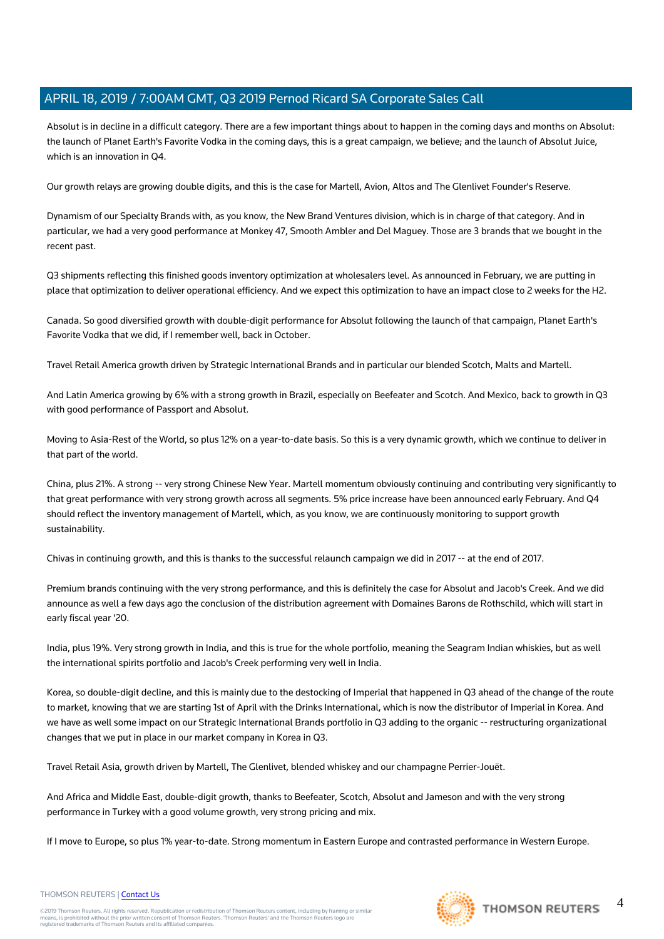Absolut is in decline in a difficult category. There are a few important things about to happen in the coming days and months on Absolut: the launch of Planet Earth's Favorite Vodka in the coming days, this is a great campaign, we believe; and the launch of Absolut Juice, which is an innovation in Q4.

Our growth relays are growing double digits, and this is the case for Martell, Avion, Altos and The Glenlivet Founder's Reserve.

Dynamism of our Specialty Brands with, as you know, the New Brand Ventures division, which is in charge of that category. And in particular, we had a very good performance at Monkey 47, Smooth Ambler and Del Maguey. Those are 3 brands that we bought in the recent past.

Q3 shipments reflecting this finished goods inventory optimization at wholesalers level. As announced in February, we are putting in place that optimization to deliver operational efficiency. And we expect this optimization to have an impact close to 2 weeks for the H2.

Canada. So good diversified growth with double-digit performance for Absolut following the launch of that campaign, Planet Earth's Favorite Vodka that we did, if I remember well, back in October.

Travel Retail America growth driven by Strategic International Brands and in particular our blended Scotch, Malts and Martell.

And Latin America growing by 6% with a strong growth in Brazil, especially on Beefeater and Scotch. And Mexico, back to growth in Q3 with good performance of Passport and Absolut.

Moving to Asia-Rest of the World, so plus 12% on a year-to-date basis. So this is a very dynamic growth, which we continue to deliver in that part of the world.

China, plus 21%. A strong -- very strong Chinese New Year. Martell momentum obviously continuing and contributing very significantly to that great performance with very strong growth across all segments. 5% price increase have been announced early February. And Q4 should reflect the inventory management of Martell, which, as you know, we are continuously monitoring to support growth sustainability.

Chivas in continuing growth, and this is thanks to the successful relaunch campaign we did in 2017 -- at the end of 2017.

Premium brands continuing with the very strong performance, and this is definitely the case for Absolut and Jacob's Creek. And we did announce as well a few days ago the conclusion of the distribution agreement with Domaines Barons de Rothschild, which will start in early fiscal year '20.

India, plus 19%. Very strong growth in India, and this is true for the whole portfolio, meaning the Seagram Indian whiskies, but as well the international spirits portfolio and Jacob's Creek performing very well in India.

Korea, so double-digit decline, and this is mainly due to the destocking of Imperial that happened in Q3 ahead of the change of the route to market, knowing that we are starting 1st of April with the Drinks International, which is now the distributor of Imperial in Korea. And we have as well some impact on our Strategic International Brands portfolio in Q3 adding to the organic -- restructuring organizational changes that we put in place in our market company in Korea in Q3.

Travel Retail Asia, growth driven by Martell, The Glenlivet, blended whiskey and our champagne Perrier-Jouët.

And Africa and Middle East, double-digit growth, thanks to Beefeater, Scotch, Absolut and Jameson and with the very strong performance in Turkey with a good volume growth, very strong pricing and mix.

If I move to Europe, so plus 1% year-to-date. Strong momentum in Eastern Europe and contrasted performance in Western Europe.



#### THOMSON REUTERS | [Contact Us](https://my.thomsonreuters.com/ContactUsNew)

©2019 Thomson Reuters. All rights reserved. Republication or redistribution of Thomson Reuters content, including by framing or similar<br>means, is prohibited without the prior written consent of Thomson Reuters. "Thomson Re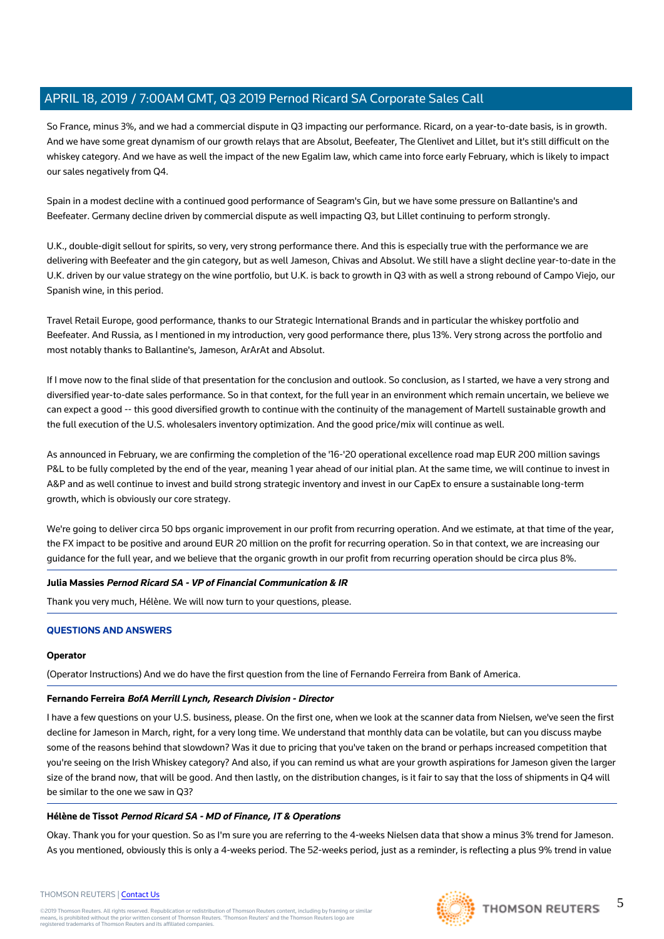So France, minus 3%, and we had a commercial dispute in Q3 impacting our performance. Ricard, on a year-to-date basis, is in growth. And we have some great dynamism of our growth relays that are Absolut, Beefeater, The Glenlivet and Lillet, but it's still difficult on the whiskey category. And we have as well the impact of the new Egalim law, which came into force early February, which is likely to impact our sales negatively from Q4.

Spain in a modest decline with a continued good performance of Seagram's Gin, but we have some pressure on Ballantine's and Beefeater. Germany decline driven by commercial dispute as well impacting Q3, but Lillet continuing to perform strongly.

U.K., double-digit sellout for spirits, so very, very strong performance there. And this is especially true with the performance we are delivering with Beefeater and the gin category, but as well Jameson, Chivas and Absolut. We still have a slight decline year-to-date in the U.K. driven by our value strategy on the wine portfolio, but U.K. is back to growth in Q3 with as well a strong rebound of Campo Viejo, our Spanish wine, in this period.

Travel Retail Europe, good performance, thanks to our Strategic International Brands and in particular the whiskey portfolio and Beefeater. And Russia, as I mentioned in my introduction, very good performance there, plus 13%. Very strong across the portfolio and most notably thanks to Ballantine's, Jameson, ArArAt and Absolut.

If I move now to the final slide of that presentation for the conclusion and outlook. So conclusion, as I started, we have a very strong and diversified year-to-date sales performance. So in that context, for the full year in an environment which remain uncertain, we believe we can expect a good -- this good diversified growth to continue with the continuity of the management of Martell sustainable growth and the full execution of the U.S. wholesalers inventory optimization. And the good price/mix will continue as well.

As announced in February, we are confirming the completion of the '16-'20 operational excellence road map EUR 200 million savings P&L to be fully completed by the end of the year, meaning 1 year ahead of our initial plan. At the same time, we will continue to invest in A&P and as well continue to invest and build strong strategic inventory and invest in our CapEx to ensure a sustainable long-term growth, which is obviously our core strategy.

We're going to deliver circa 50 bps organic improvement in our profit from recurring operation. And we estimate, at that time of the year, the FX impact to be positive and around EUR 20 million on the profit for recurring operation. So in that context, we are increasing our guidance for the full year, and we believe that the organic growth in our profit from recurring operation should be circa plus 8%.

#### **Julia Massies Pernod Ricard SA - VP of Financial Communication & IR**

Thank you very much, Hélène. We will now turn to your questions, please.

#### **QUESTIONS AND ANSWERS**

#### **Operator**

(Operator Instructions) And we do have the first question from the line of Fernando Ferreira from Bank of America.

#### **Fernando Ferreira BofA Merrill Lynch, Research Division - Director**

I have a few questions on your U.S. business, please. On the first one, when we look at the scanner data from Nielsen, we've seen the first decline for Jameson in March, right, for a very long time. We understand that monthly data can be volatile, but can you discuss maybe some of the reasons behind that slowdown? Was it due to pricing that you've taken on the brand or perhaps increased competition that you're seeing on the Irish Whiskey category? And also, if you can remind us what are your growth aspirations for Jameson given the larger size of the brand now, that will be good. And then lastly, on the distribution changes, is it fair to say that the loss of shipments in Q4 will be similar to the one we saw in Q3?

#### **Hélène de Tissot Pernod Ricard SA - MD of Finance, IT & Operations**

Okay. Thank you for your question. So as I'm sure you are referring to the 4-weeks Nielsen data that show a minus 3% trend for Jameson. As you mentioned, obviously this is only a 4-weeks period. The 52-weeks period, just as a reminder, is reflecting a plus 9% trend in value

#### THOMSON REUTERS | [Contact Us](https://my.thomsonreuters.com/ContactUsNew)

©2019 Thomson Reuters. All rights reserved. Republication or redistribution of Thomson Reuters content, including by framing or similar<br>means, is prohibited without the prior written consent of Thomson Reuters. "Thomson Re



5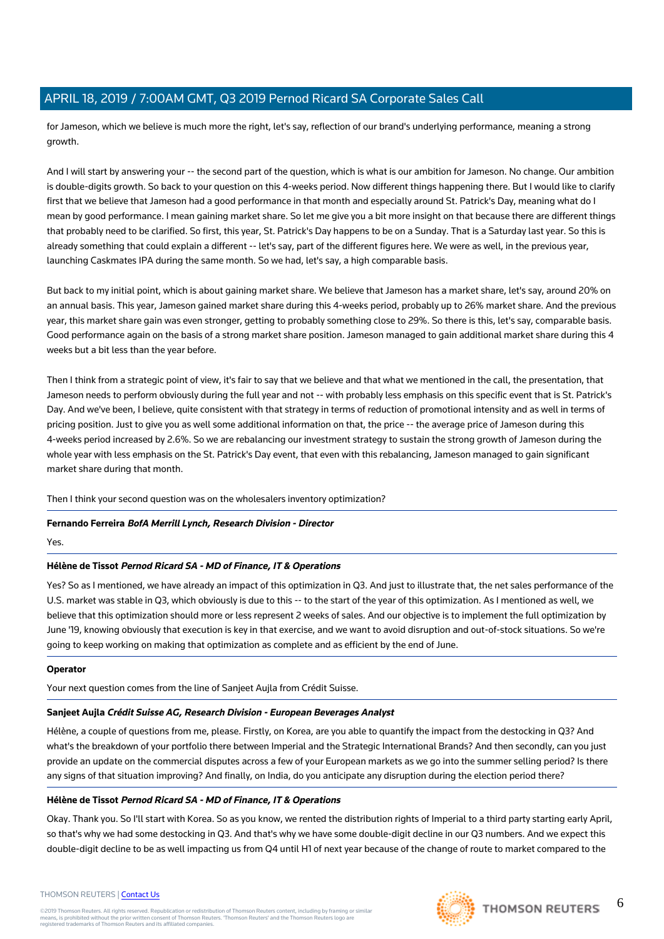for Jameson, which we believe is much more the right, let's say, reflection of our brand's underlying performance, meaning a strong growth.

And I will start by answering your -- the second part of the question, which is what is our ambition for Jameson. No change. Our ambition is double-digits growth. So back to your question on this 4-weeks period. Now different things happening there. But I would like to clarify first that we believe that Jameson had a good performance in that month and especially around St. Patrick's Day, meaning what do I mean by good performance. I mean gaining market share. So let me give you a bit more insight on that because there are different things that probably need to be clarified. So first, this year, St. Patrick's Day happens to be on a Sunday. That is a Saturday last year. So this is already something that could explain a different -- let's say, part of the different figures here. We were as well, in the previous year, launching Caskmates IPA during the same month. So we had, let's say, a high comparable basis.

But back to my initial point, which is about gaining market share. We believe that Jameson has a market share, let's say, around 20% on an annual basis. This year, Jameson gained market share during this 4-weeks period, probably up to 26% market share. And the previous year, this market share gain was even stronger, getting to probably something close to 29%. So there is this, let's say, comparable basis. Good performance again on the basis of a strong market share position. Jameson managed to gain additional market share during this 4 weeks but a bit less than the year before.

Then I think from a strategic point of view, it's fair to say that we believe and that what we mentioned in the call, the presentation, that Jameson needs to perform obviously during the full year and not -- with probably less emphasis on this specific event that is St. Patrick's Day. And we've been, I believe, quite consistent with that strategy in terms of reduction of promotional intensity and as well in terms of pricing position. Just to give you as well some additional information on that, the price -- the average price of Jameson during this 4-weeks period increased by 2.6%. So we are rebalancing our investment strategy to sustain the strong growth of Jameson during the whole year with less emphasis on the St. Patrick's Day event, that even with this rebalancing, Jameson managed to gain significant market share during that month.

Then I think your second question was on the wholesalers inventory optimization?

#### **Fernando Ferreira BofA Merrill Lynch, Research Division - Director**

Yes.

# **Hélène de Tissot Pernod Ricard SA - MD of Finance, IT & Operations**

Yes? So as I mentioned, we have already an impact of this optimization in Q3. And just to illustrate that, the net sales performance of the U.S. market was stable in Q3, which obviously is due to this -- to the start of the year of this optimization. As I mentioned as well, we believe that this optimization should more or less represent 2 weeks of sales. And our objective is to implement the full optimization by June '19, knowing obviously that execution is key in that exercise, and we want to avoid disruption and out-of-stock situations. So we're going to keep working on making that optimization as complete and as efficient by the end of June.

#### **Operator**

Your next question comes from the line of Sanjeet Aujla from Crédit Suisse.

# **Sanjeet Aujla Crédit Suisse AG, Research Division - European Beverages Analyst**

Hélène, a couple of questions from me, please. Firstly, on Korea, are you able to quantify the impact from the destocking in Q3? And what's the breakdown of your portfolio there between Imperial and the Strategic International Brands? And then secondly, can you just provide an update on the commercial disputes across a few of your European markets as we go into the summer selling period? Is there any signs of that situation improving? And finally, on India, do you anticipate any disruption during the election period there?

# **Hélène de Tissot Pernod Ricard SA - MD of Finance, IT & Operations**

Okay. Thank you. So I'll start with Korea. So as you know, we rented the distribution rights of Imperial to a third party starting early April, so that's why we had some destocking in Q3. And that's why we have some double-digit decline in our Q3 numbers. And we expect this double-digit decline to be as well impacting us from Q4 until H1 of next year because of the change of route to market compared to the

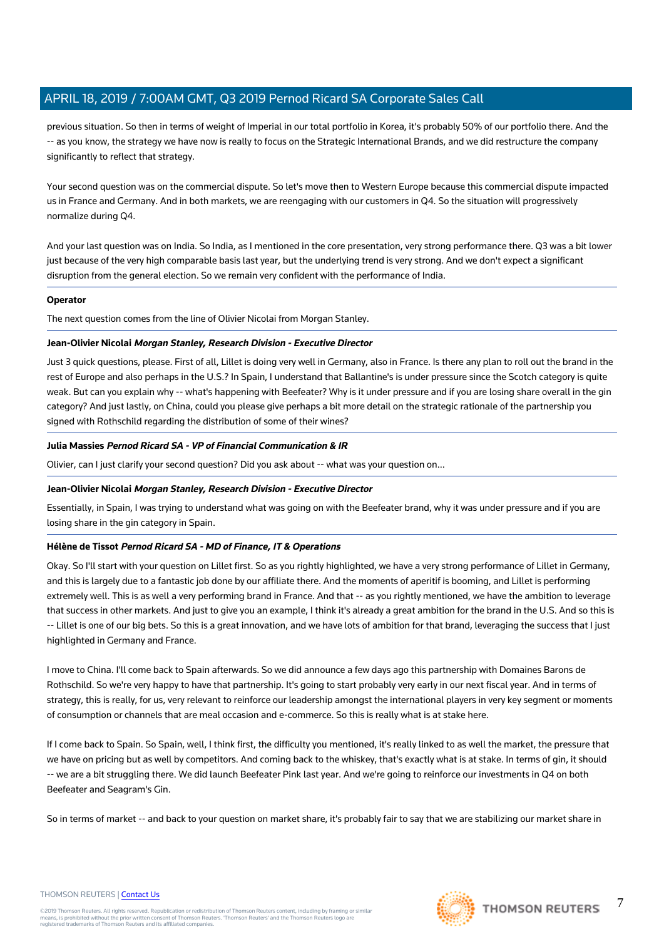previous situation. So then in terms of weight of Imperial in our total portfolio in Korea, it's probably 50% of our portfolio there. And the -- as you know, the strategy we have now is really to focus on the Strategic International Brands, and we did restructure the company significantly to reflect that strategy.

Your second question was on the commercial dispute. So let's move then to Western Europe because this commercial dispute impacted us in France and Germany. And in both markets, we are reengaging with our customers in Q4. So the situation will progressively normalize during Q4.

And your last question was on India. So India, as I mentioned in the core presentation, very strong performance there. Q3 was a bit lower just because of the very high comparable basis last year, but the underlying trend is very strong. And we don't expect a significant disruption from the general election. So we remain very confident with the performance of India.

#### **Operator**

The next question comes from the line of Olivier Nicolai from Morgan Stanley.

#### **Jean-Olivier Nicolai Morgan Stanley, Research Division - Executive Director**

Just 3 quick questions, please. First of all, Lillet is doing very well in Germany, also in France. Is there any plan to roll out the brand in the rest of Europe and also perhaps in the U.S.? In Spain, I understand that Ballantine's is under pressure since the Scotch category is quite weak. But can you explain why -- what's happening with Beefeater? Why is it under pressure and if you are losing share overall in the gin category? And just lastly, on China, could you please give perhaps a bit more detail on the strategic rationale of the partnership you signed with Rothschild regarding the distribution of some of their wines?

#### **Julia Massies Pernod Ricard SA - VP of Financial Communication & IR**

Olivier, can I just clarify your second question? Did you ask about -- what was your question on...

#### **Jean-Olivier Nicolai Morgan Stanley, Research Division - Executive Director**

Essentially, in Spain, I was trying to understand what was going on with the Beefeater brand, why it was under pressure and if you are losing share in the gin category in Spain.

#### **Hélène de Tissot Pernod Ricard SA - MD of Finance, IT & Operations**

Okay. So I'll start with your question on Lillet first. So as you rightly highlighted, we have a very strong performance of Lillet in Germany, and this is largely due to a fantastic job done by our affiliate there. And the moments of aperitif is booming, and Lillet is performing extremely well. This is as well a very performing brand in France. And that -- as you rightly mentioned, we have the ambition to leverage that success in other markets. And just to give you an example, I think it's already a great ambition for the brand in the U.S. And so this is -- Lillet is one of our big bets. So this is a great innovation, and we have lots of ambition for that brand, leveraging the success that I just highlighted in Germany and France.

I move to China. I'll come back to Spain afterwards. So we did announce a few days ago this partnership with Domaines Barons de Rothschild. So we're very happy to have that partnership. It's going to start probably very early in our next fiscal year. And in terms of strategy, this is really, for us, very relevant to reinforce our leadership amongst the international players in very key segment or moments of consumption or channels that are meal occasion and e-commerce. So this is really what is at stake here.

If I come back to Spain. So Spain, well, I think first, the difficulty you mentioned, it's really linked to as well the market, the pressure that we have on pricing but as well by competitors. And coming back to the whiskey, that's exactly what is at stake. In terms of gin, it should -- we are a bit struggling there. We did launch Beefeater Pink last year. And we're going to reinforce our investments in Q4 on both Beefeater and Seagram's Gin.

So in terms of market -- and back to your question on market share, it's probably fair to say that we are stabilizing our market share in



#### THOMSON REUTERS | [Contact Us](https://my.thomsonreuters.com/ContactUsNew)

©2019 Thomson Reuters. All rights reserved. Republication or redistribution of Thomson Reuters content, including by framing or similar<br>means, is prohibited without the prior written consent of Thomson Reuters. "Thomson Re

7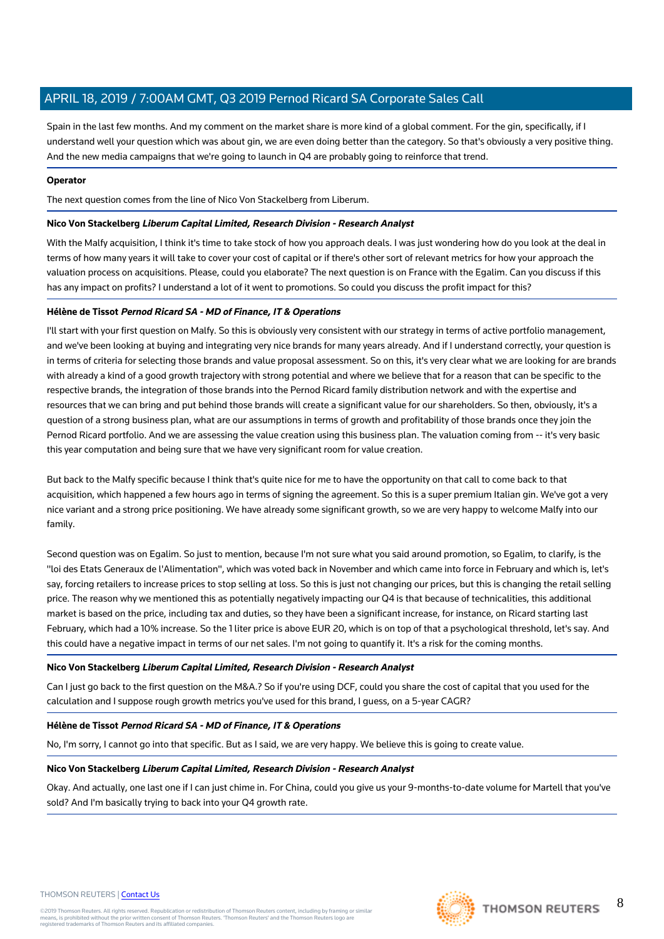Spain in the last few months. And my comment on the market share is more kind of a global comment. For the gin, specifically, if I understand well your question which was about gin, we are even doing better than the category. So that's obviously a very positive thing. And the new media campaigns that we're going to launch in Q4 are probably going to reinforce that trend.

#### **Operator**

The next question comes from the line of Nico Von Stackelberg from Liberum.

#### **Nico Von Stackelberg Liberum Capital Limited, Research Division - Research Analyst**

With the Malfy acquisition, I think it's time to take stock of how you approach deals. I was just wondering how do you look at the deal in terms of how many years it will take to cover your cost of capital or if there's other sort of relevant metrics for how your approach the valuation process on acquisitions. Please, could you elaborate? The next question is on France with the Egalim. Can you discuss if this has any impact on profits? I understand a lot of it went to promotions. So could you discuss the profit impact for this?

#### **Hélène de Tissot Pernod Ricard SA - MD of Finance, IT & Operations**

I'll start with your first question on Malfy. So this is obviously very consistent with our strategy in terms of active portfolio management, and we've been looking at buying and integrating very nice brands for many years already. And if I understand correctly, your question is in terms of criteria for selecting those brands and value proposal assessment. So on this, it's very clear what we are looking for are brands with already a kind of a good growth trajectory with strong potential and where we believe that for a reason that can be specific to the respective brands, the integration of those brands into the Pernod Ricard family distribution network and with the expertise and resources that we can bring and put behind those brands will create a significant value for our shareholders. So then, obviously, it's a question of a strong business plan, what are our assumptions in terms of growth and profitability of those brands once they join the Pernod Ricard portfolio. And we are assessing the value creation using this business plan. The valuation coming from -- it's very basic this year computation and being sure that we have very significant room for value creation.

But back to the Malfy specific because I think that's quite nice for me to have the opportunity on that call to come back to that acquisition, which happened a few hours ago in terms of signing the agreement. So this is a super premium Italian gin. We've got a very nice variant and a strong price positioning. We have already some significant growth, so we are very happy to welcome Malfy into our family.

Second question was on Egalim. So just to mention, because I'm not sure what you said around promotion, so Egalim, to clarify, is the "loi des Etats Generaux de l'Alimentation", which was voted back in November and which came into force in February and which is, let's say, forcing retailers to increase prices to stop selling at loss. So this is just not changing our prices, but this is changing the retail selling price. The reason why we mentioned this as potentially negatively impacting our Q4 is that because of technicalities, this additional market is based on the price, including tax and duties, so they have been a significant increase, for instance, on Ricard starting last February, which had a 10% increase. So the 1 liter price is above EUR 20, which is on top of that a psychological threshold, let's say. And this could have a negative impact in terms of our net sales. I'm not going to quantify it. It's a risk for the coming months.

#### **Nico Von Stackelberg Liberum Capital Limited, Research Division - Research Analyst**

Can I just go back to the first question on the M&A.? So if you're using DCF, could you share the cost of capital that you used for the calculation and I suppose rough growth metrics you've used for this brand, I guess, on a 5-year CAGR?

#### **Hélène de Tissot Pernod Ricard SA - MD of Finance, IT & Operations**

No, I'm sorry, I cannot go into that specific. But as I said, we are very happy. We believe this is going to create value.

#### **Nico Von Stackelberg Liberum Capital Limited, Research Division - Research Analyst**

Okay. And actually, one last one if I can just chime in. For China, could you give us your 9-months-to-date volume for Martell that you've sold? And I'm basically trying to back into your Q4 growth rate.

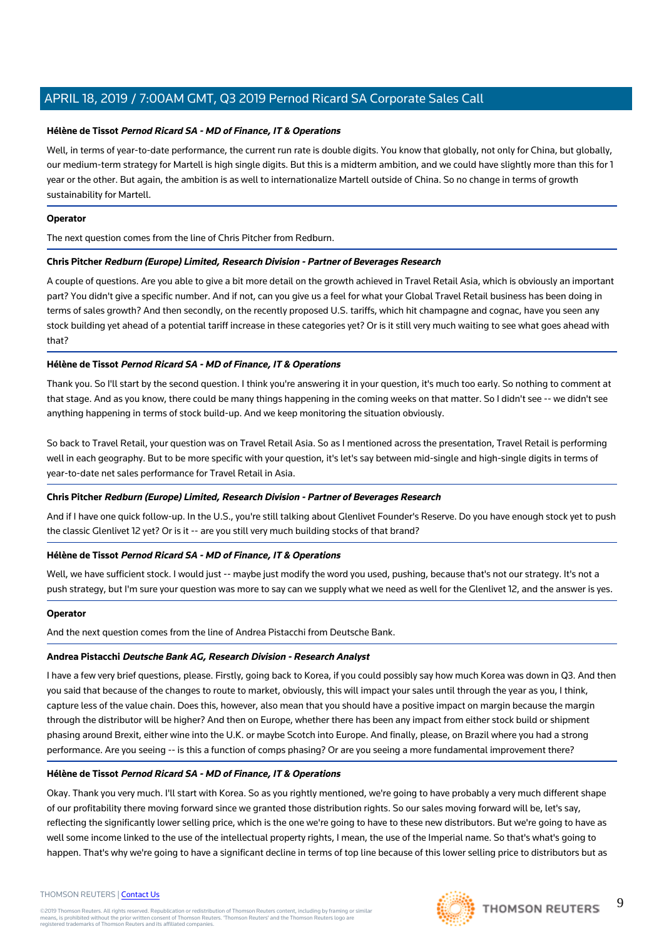#### **Hélène de Tissot Pernod Ricard SA - MD of Finance, IT & Operations**

Well, in terms of year-to-date performance, the current run rate is double digits. You know that globally, not only for China, but globally, our medium-term strategy for Martell is high single digits. But this is a midterm ambition, and we could have slightly more than this for 1 year or the other. But again, the ambition is as well to internationalize Martell outside of China. So no change in terms of growth sustainability for Martell.

#### **Operator**

The next question comes from the line of Chris Pitcher from Redburn.

#### **Chris Pitcher Redburn (Europe) Limited, Research Division - Partner of Beverages Research**

A couple of questions. Are you able to give a bit more detail on the growth achieved in Travel Retail Asia, which is obviously an important part? You didn't give a specific number. And if not, can you give us a feel for what your Global Travel Retail business has been doing in terms of sales growth? And then secondly, on the recently proposed U.S. tariffs, which hit champagne and cognac, have you seen any stock building yet ahead of a potential tariff increase in these categories yet? Or is it still very much waiting to see what goes ahead with that?

#### **Hélène de Tissot Pernod Ricard SA - MD of Finance, IT & Operations**

Thank you. So I'll start by the second question. I think you're answering it in your question, it's much too early. So nothing to comment at that stage. And as you know, there could be many things happening in the coming weeks on that matter. So I didn't see -- we didn't see anything happening in terms of stock build-up. And we keep monitoring the situation obviously.

So back to Travel Retail, your question was on Travel Retail Asia. So as I mentioned across the presentation, Travel Retail is performing well in each geography. But to be more specific with your question, it's let's say between mid-single and high-single digits in terms of year-to-date net sales performance for Travel Retail in Asia.

#### **Chris Pitcher Redburn (Europe) Limited, Research Division - Partner of Beverages Research**

And if I have one quick follow-up. In the U.S., you're still talking about Glenlivet Founder's Reserve. Do you have enough stock yet to push the classic Glenlivet 12 yet? Or is it -- are you still very much building stocks of that brand?

#### **Hélène de Tissot Pernod Ricard SA - MD of Finance, IT & Operations**

Well, we have sufficient stock. I would just -- maybe just modify the word you used, pushing, because that's not our strategy. It's not a push strategy, but I'm sure your question was more to say can we supply what we need as well for the Glenlivet 12, and the answer is yes.

#### **Operator**

And the next question comes from the line of Andrea Pistacchi from Deutsche Bank.

#### **Andrea Pistacchi Deutsche Bank AG, Research Division - Research Analyst**

I have a few very brief questions, please. Firstly, going back to Korea, if you could possibly say how much Korea was down in Q3. And then you said that because of the changes to route to market, obviously, this will impact your sales until through the year as you, I think, capture less of the value chain. Does this, however, also mean that you should have a positive impact on margin because the margin through the distributor will be higher? And then on Europe, whether there has been any impact from either stock build or shipment phasing around Brexit, either wine into the U.K. or maybe Scotch into Europe. And finally, please, on Brazil where you had a strong performance. Are you seeing -- is this a function of comps phasing? Or are you seeing a more fundamental improvement there?

#### **Hélène de Tissot Pernod Ricard SA - MD of Finance, IT & Operations**

Okay. Thank you very much. I'll start with Korea. So as you rightly mentioned, we're going to have probably a very much different shape of our profitability there moving forward since we granted those distribution rights. So our sales moving forward will be, let's say, reflecting the significantly lower selling price, which is the one we're going to have to these new distributors. But we're going to have as well some income linked to the use of the intellectual property rights, I mean, the use of the Imperial name. So that's what's going to happen. That's why we're going to have a significant decline in terms of top line because of this lower selling price to distributors but as

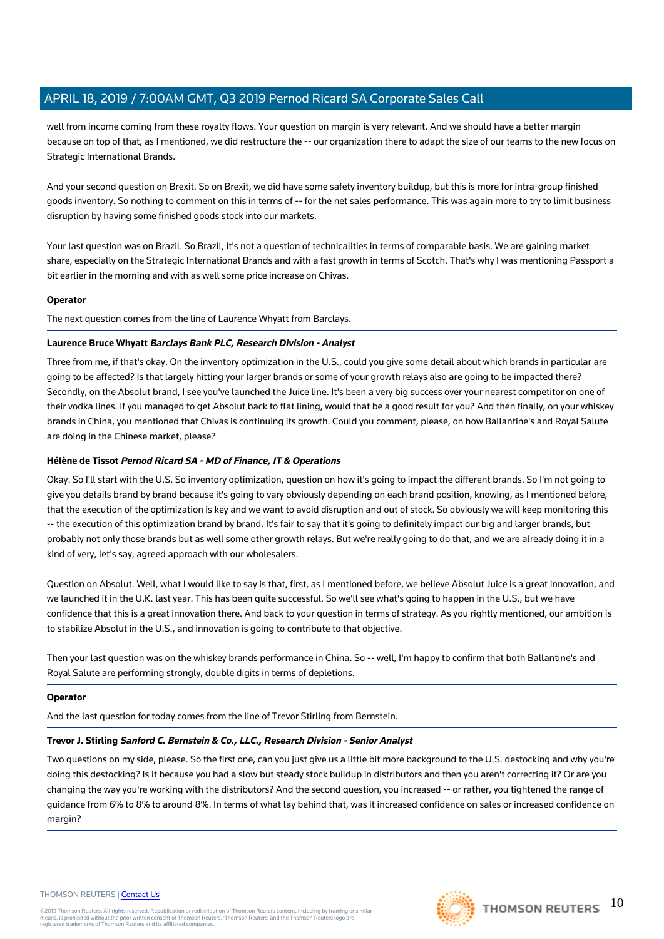well from income coming from these royalty flows. Your question on margin is very relevant. And we should have a better margin because on top of that, as I mentioned, we did restructure the -- our organization there to adapt the size of our teams to the new focus on Strategic International Brands.

And your second question on Brexit. So on Brexit, we did have some safety inventory buildup, but this is more for intra-group finished goods inventory. So nothing to comment on this in terms of -- for the net sales performance. This was again more to try to limit business disruption by having some finished goods stock into our markets.

Your last question was on Brazil. So Brazil, it's not a question of technicalities in terms of comparable basis. We are gaining market share, especially on the Strategic International Brands and with a fast growth in terms of Scotch. That's why I was mentioning Passport a bit earlier in the morning and with as well some price increase on Chivas.

#### **Operator**

The next question comes from the line of Laurence Whyatt from Barclays.

#### **Laurence Bruce Whyatt Barclays Bank PLC, Research Division - Analyst**

Three from me, if that's okay. On the inventory optimization in the U.S., could you give some detail about which brands in particular are going to be affected? Is that largely hitting your larger brands or some of your growth relays also are going to be impacted there? Secondly, on the Absolut brand, I see you've launched the Juice line. It's been a very big success over your nearest competitor on one of their vodka lines. If you managed to get Absolut back to flat lining, would that be a good result for you? And then finally, on your whiskey brands in China, you mentioned that Chivas is continuing its growth. Could you comment, please, on how Ballantine's and Royal Salute are doing in the Chinese market, please?

#### **Hélène de Tissot Pernod Ricard SA - MD of Finance, IT & Operations**

Okay. So I'll start with the U.S. So inventory optimization, question on how it's going to impact the different brands. So I'm not going to give you details brand by brand because it's going to vary obviously depending on each brand position, knowing, as I mentioned before, that the execution of the optimization is key and we want to avoid disruption and out of stock. So obviously we will keep monitoring this -- the execution of this optimization brand by brand. It's fair to say that it's going to definitely impact our big and larger brands, but probably not only those brands but as well some other growth relays. But we're really going to do that, and we are already doing it in a kind of very, let's say, agreed approach with our wholesalers.

Question on Absolut. Well, what I would like to say is that, first, as I mentioned before, we believe Absolut Juice is a great innovation, and we launched it in the U.K. last year. This has been quite successful. So we'll see what's going to happen in the U.S., but we have confidence that this is a great innovation there. And back to your question in terms of strategy. As you rightly mentioned, our ambition is to stabilize Absolut in the U.S., and innovation is going to contribute to that objective.

Then your last question was on the whiskey brands performance in China. So -- well, I'm happy to confirm that both Ballantine's and Royal Salute are performing strongly, double digits in terms of depletions.

#### **Operator**

And the last question for today comes from the line of Trevor Stirling from Bernstein.

#### **Trevor J. Stirling Sanford C. Bernstein & Co., LLC., Research Division - Senior Analyst**

Two questions on my side, please. So the first one, can you just give us a little bit more background to the U.S. destocking and why you're doing this destocking? Is it because you had a slow but steady stock buildup in distributors and then you aren't correcting it? Or are you changing the way you're working with the distributors? And the second question, you increased -- or rather, you tightened the range of guidance from 6% to 8% to around 8%. In terms of what lay behind that, was it increased confidence on sales or increased confidence on margin?

#### THOMSON REUTERS | [Contact Us](https://my.thomsonreuters.com/ContactUsNew)